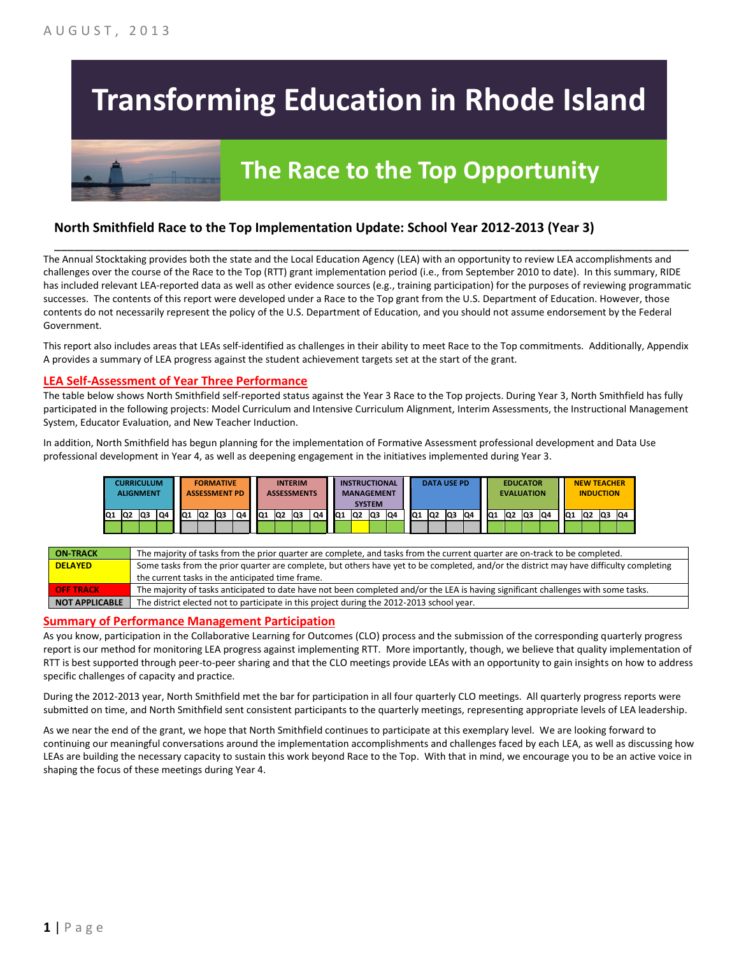# **Transforming Education in Rhode Island**

# **The Race to the Top Opportunity**

### **North Smithfield Race to the Top Implementation Update: School Year 2012-2013 (Year 3)**

The Annual Stocktaking provides both the state and the Local Education Agency (LEA) with an opportunity to review LEA accomplishments and challenges over the course of the Race to the Top (RTT) grant implementation period (i.e., from September 2010 to date). In this summary, RIDE has included relevant LEA-reported data as well as other evidence sources (e.g., training participation) for the purposes of reviewing programmatic successes. The contents of this report were developed under a Race to the Top grant from the U.S. Department of Education. However, those contents do not necessarily represent the policy of the U.S. Department of Education, and you should not assume endorsement by the Federal Government.

\_\_\_\_\_\_\_\_\_\_\_\_\_\_\_\_\_\_\_\_\_\_\_\_\_\_\_\_\_\_\_\_\_\_\_\_\_\_\_\_\_\_\_\_\_\_\_\_\_\_\_\_\_\_\_\_\_\_\_\_\_\_\_\_\_\_\_\_\_\_\_\_\_\_\_\_\_\_\_\_\_\_\_\_\_\_\_\_\_\_\_\_\_\_\_\_

This report also includes areas that LEAs self-identified as challenges in their ability to meet Race to the Top commitments. Additionally, Appendix A provides a summary of LEA progress against the student achievement targets set at the start of the grant.

#### **LEA Self-Assessment of Year Three Performance**

The table below shows North Smithfield self-reported status against the Year 3 Race to the Top projects. During Year 3, North Smithfield has fully participated in the following projects: Model Curriculum and Intensive Curriculum Alignment, Interim Assessments, the Instructional Management System, Educator Evaluation, and New Teacher Induction.

In addition, North Smithfield has begun planning for the implementation of Formative Assessment professional development and Data Use professional development in Year 4, as well as deepening engagement in the initiatives implemented during Year 3.



| <b>ON TRACK</b>  | The majority of tasks from the prior quarter are complete, and tasks from the current quarter are on-track to be completed.             |
|------------------|-----------------------------------------------------------------------------------------------------------------------------------------|
| <b>DELAYED</b>   | Some tasks from the prior quarter are complete, but others have yet to be completed, and/or the district may have difficulty completing |
|                  | the current tasks in the anticipated time frame.                                                                                        |
| <b>OFF TRACK</b> | The majority of tasks anticipated to date have not been completed and/or the LEA is having significant challenges with some tasks.      |
| NOT APPLICABLE   | The district elected not to participate in this project during the 2012-2013 school year.                                               |

#### **Summary of Performance Management Participation**

As you know, participation in the Collaborative Learning for Outcomes (CLO) process and the submission of the corresponding quarterly progress report is our method for monitoring LEA progress against implementing RTT. More importantly, though, we believe that quality implementation of RTT is best supported through peer-to-peer sharing and that the CLO meetings provide LEAs with an opportunity to gain insights on how to address specific challenges of capacity and practice.

During the 2012-2013 year, North Smithfield met the bar for participation in all four quarterly CLO meetings. All quarterly progress reports were submitted on time, and North Smithfield sent consistent participants to the quarterly meetings, representing appropriate levels of LEA leadership.

As we near the end of the grant, we hope that North Smithfield continues to participate at this exemplary level. We are looking forward to continuing our meaningful conversations around the implementation accomplishments and challenges faced by each LEA, as well as discussing how LEAs are building the necessary capacity to sustain this work beyond Race to the Top. With that in mind, we encourage you to be an active voice in shaping the focus of these meetings during Year 4.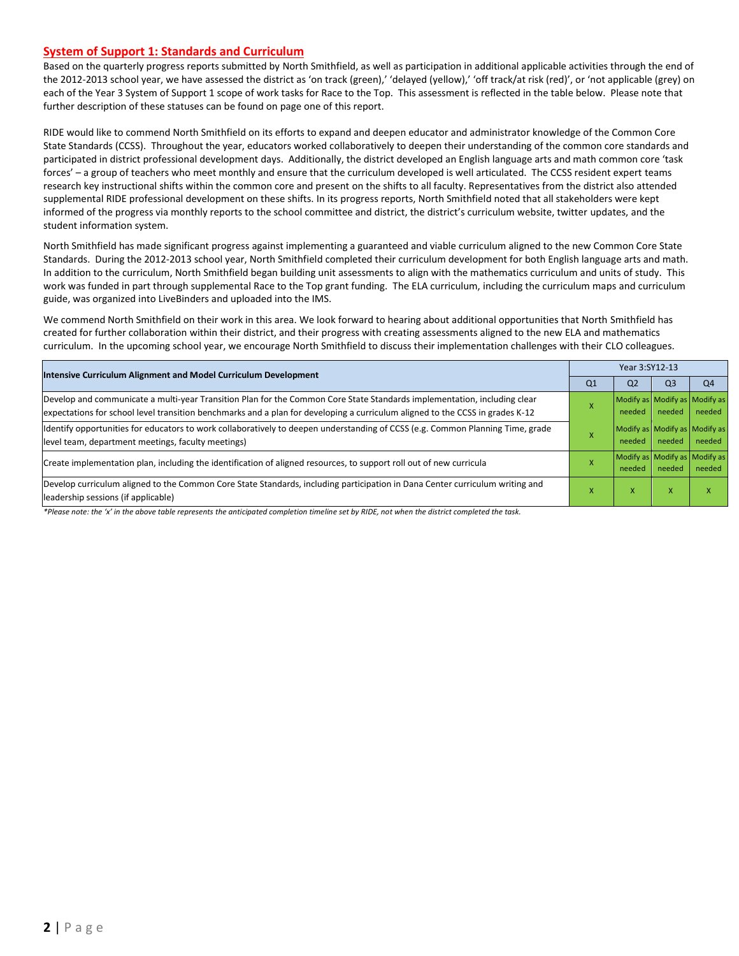#### **System of Support 1: Standards and Curriculum**

Based on the quarterly progress reports submitted by North Smithfield, as well as participation in additional applicable activities through the end of the 2012-2013 school year, we have assessed the district as 'on track (green),' 'delayed (yellow),' 'off track/at risk (red)', or 'not applicable (grey) on each of the Year 3 System of Support 1 scope of work tasks for Race to the Top. This assessment is reflected in the table below. Please note that further description of these statuses can be found on page one of this report.

RIDE would like to commend North Smithfield on its efforts to expand and deepen educator and administrator knowledge of the Common Core State Standards (CCSS). Throughout the year, educators worked collaboratively to deepen their understanding of the common core standards and participated in district professional development days. Additionally, the district developed an English language arts and math common core 'task forces' – a group of teachers who meet monthly and ensure that the curriculum developed is well articulated. The CCSS resident expert teams research key instructional shifts within the common core and present on the shifts to all faculty. Representatives from the district also attended supplemental RIDE professional development on these shifts. In its progress reports, North Smithfield noted that all stakeholders were kept informed of the progress via monthly reports to the school committee and district, the district's curriculum website, twitter updates, and the student information system.

North Smithfield has made significant progress against implementing a guaranteed and viable curriculum aligned to the new Common Core State Standards. During the 2012-2013 school year, North Smithfield completed their curriculum development for both English language arts and math. In addition to the curriculum, North Smithfield began building unit assessments to align with the mathematics curriculum and units of study. This work was funded in part through supplemental Race to the Top grant funding. The ELA curriculum, including the curriculum maps and curriculum guide, was organized into LiveBinders and uploaded into the IMS.

We commend North Smithfield on their work in this area. We look forward to hearing about additional opportunities that North Smithfield has created for further collaboration within their district, and their progress with creating assessments aligned to the new ELA and mathematics curriculum. In the upcoming school year, we encourage North Smithfield to discuss their implementation challenges with their CLO colleagues.

| Intensive Curriculum Alignment and Model Curriculum Development                                                                |                | Year 3:SY12-13 |                |                               |  |  |  |
|--------------------------------------------------------------------------------------------------------------------------------|----------------|----------------|----------------|-------------------------------|--|--|--|
|                                                                                                                                | Q <sub>1</sub> | Q <sub>2</sub> | Q <sub>3</sub> | Q <sub>4</sub>                |  |  |  |
| Develop and communicate a multi-year Transition Plan for the Common Core State Standards implementation, including clear       |                |                |                | Modify as Modify as Modify as |  |  |  |
| expectations for school level transition benchmarks and a plan for developing a curriculum aligned to the CCSS in grades K-12  |                | needed         | needed         | needed                        |  |  |  |
| Identify opportunities for educators to work collaboratively to deepen understanding of CCSS (e.g. Common Planning Time, grade |                |                |                | Modify as Modify as Modify as |  |  |  |
| level team, department meetings, faculty meetings)                                                                             |                | needed         | needed         | needed                        |  |  |  |
| Create implementation plan, including the identification of aligned resources, to support roll out of new curricula            |                |                |                | Modify as Modify as Modify as |  |  |  |
|                                                                                                                                |                | needed         | needed         | needed                        |  |  |  |
| Develop curriculum aligned to the Common Core State Standards, including participation in Dana Center curriculum writing and   | X              | X              | X              |                               |  |  |  |
| leadership sessions (if applicable)                                                                                            |                |                |                |                               |  |  |  |

*\*Please note: the 'x' in the above table represents the anticipated completion timeline set by RIDE, not when the district completed the task.*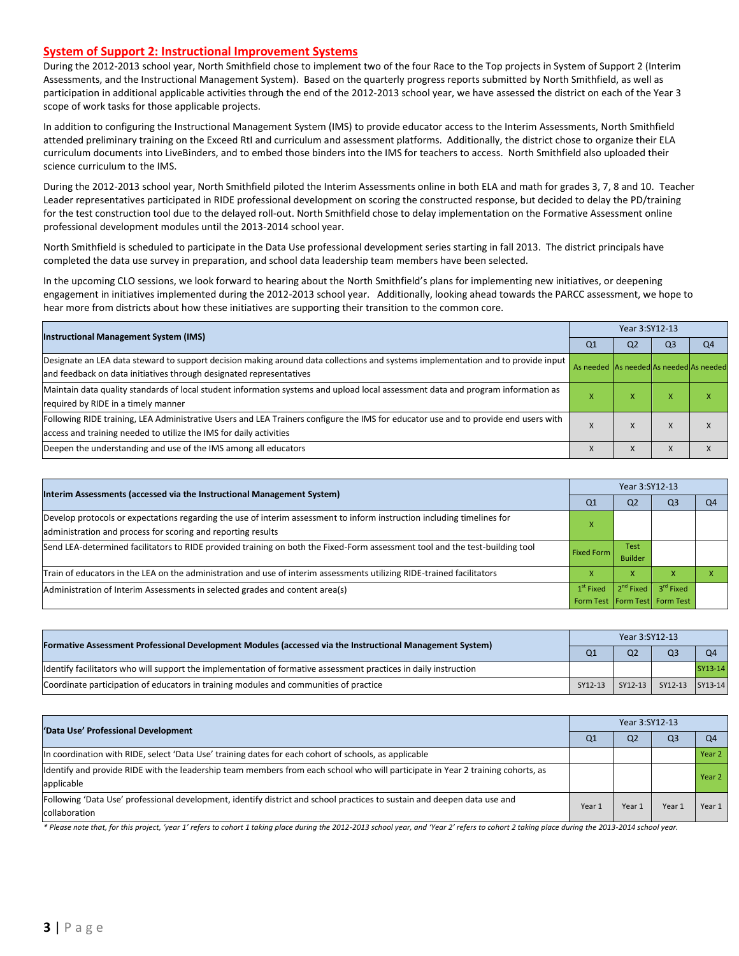#### **System of Support 2: Instructional Improvement Systems**

During the 2012-2013 school year, North Smithfield chose to implement two of the four Race to the Top projects in System of Support 2 (Interim Assessments, and the Instructional Management System). Based on the quarterly progress reports submitted by North Smithfield, as well as participation in additional applicable activities through the end of the 2012-2013 school year, we have assessed the district on each of the Year 3 scope of work tasks for those applicable projects.

In addition to configuring the Instructional Management System (IMS) to provide educator access to the Interim Assessments, North Smithfield attended preliminary training on the Exceed RtI and curriculum and assessment platforms. Additionally, the district chose to organize their ELA curriculum documents into LiveBinders, and to embed those binders into the IMS for teachers to access. North Smithfield also uploaded their science curriculum to the IMS.

During the 2012-2013 school year, North Smithfield piloted the Interim Assessments online in both ELA and math for grades 3, 7, 8 and 10. Teacher Leader representatives participated in RIDE professional development on scoring the constructed response, but decided to delay the PD/training for the test construction tool due to the delayed roll-out. North Smithfield chose to delay implementation on the Formative Assessment online professional development modules until the 2013-2014 school year.

North Smithfield is scheduled to participate in the Data Use professional development series starting in fall 2013. The district principals have completed the data use survey in preparation, and school data leadership team members have been selected.

In the upcoming CLO sessions, we look forward to hearing about the North Smithfield's plans for implementing new initiatives, or deepening engagement in initiatives implemented during the 2012-2013 school year. Additionally, looking ahead towards the PARCC assessment, we hope to hear more from districts about how these initiatives are supporting their transition to the common core.

| <b>Instructional Management System (IMS)</b>                                                                                                                                                              |                                         | Year 3:SY12-13 |    |                |  |  |  |
|-----------------------------------------------------------------------------------------------------------------------------------------------------------------------------------------------------------|-----------------------------------------|----------------|----|----------------|--|--|--|
|                                                                                                                                                                                                           | Q1                                      | Q2             | Q3 | O <sub>4</sub> |  |  |  |
| Designate an LEA data steward to support decision making around data collections and systems implementation and to provide input<br>and feedback on data initiatives through designated representatives   | As needed As needed As needed As needed |                |    |                |  |  |  |
| Maintain data quality standards of local student information systems and upload local assessment data and program information as<br>required by RIDE in a timely manner                                   |                                         | $\lambda$      |    |                |  |  |  |
| Following RIDE training, LEA Administrative Users and LEA Trainers configure the IMS for educator use and to provide end users with<br>access and training needed to utilize the IMS for daily activities |                                         | A              |    |                |  |  |  |
| Deepen the understanding and use of the IMS among all educators                                                                                                                                           |                                         | $\Lambda$      |    |                |  |  |  |

| Interim Assessments (accessed via the Instructional Management System)                                                                            |                                   | Year 3:SY12-13 |                       |                |  |  |  |
|---------------------------------------------------------------------------------------------------------------------------------------------------|-----------------------------------|----------------|-----------------------|----------------|--|--|--|
|                                                                                                                                                   | Q <sub>1</sub>                    | Q <sub>2</sub> | Q <sub>3</sub>        | O <sub>4</sub> |  |  |  |
| Develop protocols or expectations regarding the use of interim assessment to inform instruction including timelines for                           |                                   |                |                       |                |  |  |  |
| administration and process for scoring and reporting results                                                                                      |                                   |                |                       |                |  |  |  |
| Send LEA-determined facilitators to RIDE provided training on both the Fixed-Form assessment tool and the test-building tool<br><b>Fixed Form</b> |                                   | <b>Test</b>    |                       |                |  |  |  |
|                                                                                                                                                   |                                   | <b>Builder</b> |                       |                |  |  |  |
| Train of educators in the LEA on the administration and use of interim assessments utilizing RIDE-trained facilitators                            |                                   | x              |                       |                |  |  |  |
| Administration of Interim Assessments in selected grades and content area(s)                                                                      |                                   | $2^{nd}$ Fixed | 3 <sup>rd</sup> Fixed |                |  |  |  |
|                                                                                                                                                   | Form Test   Form Test   Form Test |                |                       |                |  |  |  |

| Formative Assessment Professional Development Modules (accessed via the Instructional Management System)         |         | Year 3:SY12-13 |                 |                |  |  |  |
|------------------------------------------------------------------------------------------------------------------|---------|----------------|-----------------|----------------|--|--|--|
|                                                                                                                  |         | Q <sub>2</sub> | Q <sub>3</sub>  | Q <sub>4</sub> |  |  |  |
| ldentify facilitators who will support the implementation of formative assessment practices in daily instruction |         |                |                 | SY13-14        |  |  |  |
| Coordinate participation of educators in training modules and communities of practice                            | SY12-13 | SY12-13        | SY12-13 SY13-14 |                |  |  |  |

| 'Data Use' Professional Development                                                                                             |        | Year 3:SY12-13 |                |                   |  |  |  |
|---------------------------------------------------------------------------------------------------------------------------------|--------|----------------|----------------|-------------------|--|--|--|
|                                                                                                                                 |        | Q <sub>2</sub> | Q <sub>3</sub> | Q <sub>4</sub>    |  |  |  |
| In coordination with RIDE, select 'Data Use' training dates for each cohort of schools, as applicable                           |        |                |                | Year <sub>2</sub> |  |  |  |
| Identify and provide RIDE with the leadership team members from each school who will participate in Year 2 training cohorts, as |        |                |                | Year <sub>2</sub> |  |  |  |
| applicable                                                                                                                      |        |                |                |                   |  |  |  |
| Following 'Data Use' professional development, identify district and school practices to sustain and deepen data use and        | Year 1 | Year 1         | Year:          | Year 1            |  |  |  |
| collaboration                                                                                                                   |        |                |                |                   |  |  |  |

\* Please note that, for this project, 'year 1' refers to cohort 1 taking place during the 2012-2013 school year, and 'Year 2' refers to cohort 2 taking place during the 2013-2014 school year.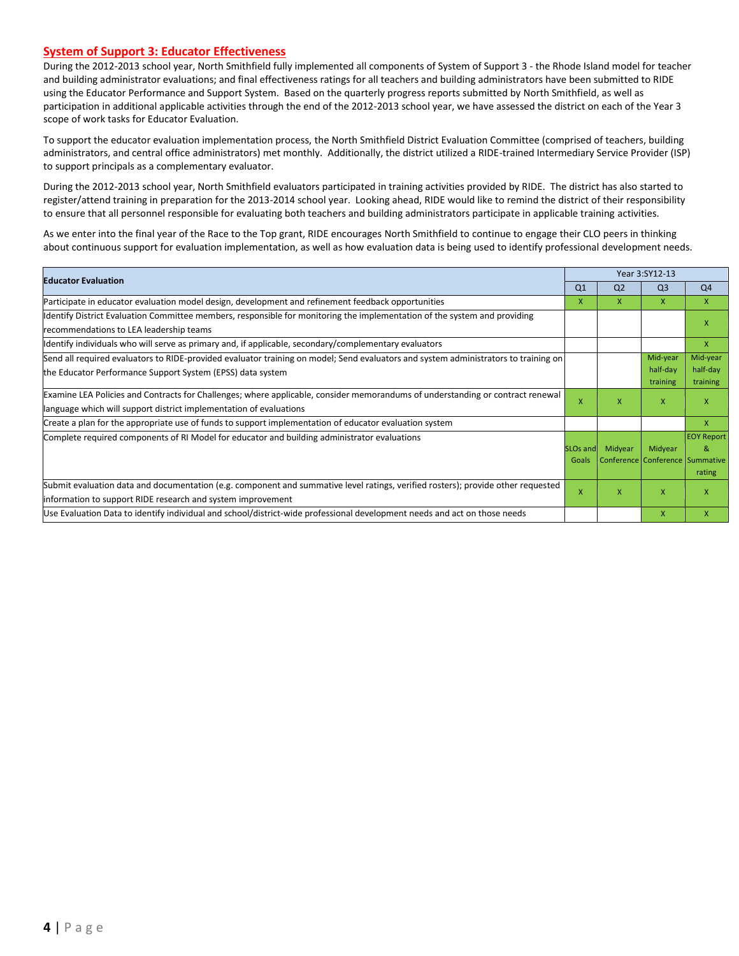#### **System of Support 3: Educator Effectiveness**

During the 2012-2013 school year, North Smithfield fully implemented all components of System of Support 3 - the Rhode Island model for teacher and building administrator evaluations; and final effectiveness ratings for all teachers and building administrators have been submitted to RIDE using the Educator Performance and Support System. Based on the quarterly progress reports submitted by North Smithfield, as well as participation in additional applicable activities through the end of the 2012-2013 school year, we have assessed the district on each of the Year 3 scope of work tasks for Educator Evaluation.

To support the educator evaluation implementation process, the North Smithfield District Evaluation Committee (comprised of teachers, building administrators, and central office administrators) met monthly. Additionally, the district utilized a RIDE-trained Intermediary Service Provider (ISP) to support principals as a complementary evaluator.

During the 2012-2013 school year, North Smithfield evaluators participated in training activities provided by RIDE. The district has also started to register/attend training in preparation for the 2013-2014 school year. Looking ahead, RIDE would like to remind the district of their responsibility to ensure that all personnel responsible for evaluating both teachers and building administrators participate in applicable training activities.

As we enter into the final year of the Race to the Top grant, RIDE encourages North Smithfield to continue to engage their CLO peers in thinking about continuous support for evaluation implementation, as well as how evaluation data is being used to identify professional development needs.

| <b>Educator Evaluation</b>                                                                                                          |                | Year 3:SY12-13 |                                 |                   |  |
|-------------------------------------------------------------------------------------------------------------------------------------|----------------|----------------|---------------------------------|-------------------|--|
|                                                                                                                                     | Q <sub>1</sub> | Q <sub>2</sub> | Q <sub>3</sub>                  | Q <sub>4</sub>    |  |
| Participate in educator evaluation model design, development and refinement feedback opportunities                                  | X              | x              | X                               | X                 |  |
| Identify District Evaluation Committee members, responsible for monitoring the implementation of the system and providing           |                |                |                                 | x                 |  |
| recommendations to LEA leadership teams                                                                                             |                |                |                                 |                   |  |
| ldentify individuals who will serve as primary and, if applicable, secondary/complementary evaluators                               |                |                |                                 | $\mathsf{x}$      |  |
| Send all required evaluators to RIDE-provided evaluator training on model; Send evaluators and system administrators to training on |                |                | Mid-year                        | Mid-year          |  |
| the Educator Performance Support System (EPSS) data system                                                                          |                |                | half-day                        | half-day          |  |
|                                                                                                                                     |                |                | training                        | training          |  |
| [Examine LEA Policies and Contracts for Challenges; where applicable, consider memorandums of understanding or contract renewal     |                | X              | X                               | x                 |  |
| language which will support district implementation of evaluations                                                                  | $\mathsf{x}$   |                |                                 |                   |  |
| Create a plan for the appropriate use of funds to support implementation of educator evaluation system                              |                |                |                                 | $\mathsf{x}$      |  |
| Complete required components of RI Model for educator and building administrator evaluations                                        |                |                |                                 | <b>EOY Report</b> |  |
|                                                                                                                                     | SLOs and       | Midyear        | Midyear                         | &                 |  |
|                                                                                                                                     | Goals          |                | Conference Conference Summative |                   |  |
|                                                                                                                                     |                |                |                                 | rating            |  |
| Submit evaluation data and documentation (e.g. component and summative level ratings, verified rosters); provide other requested    |                | x              | $\mathsf{x}$                    | X                 |  |
| information to support RIDE research and system improvement                                                                         |                |                |                                 |                   |  |
| Use Evaluation Data to identify individual and school/district-wide professional development needs and act on those needs           |                |                | X                               | X                 |  |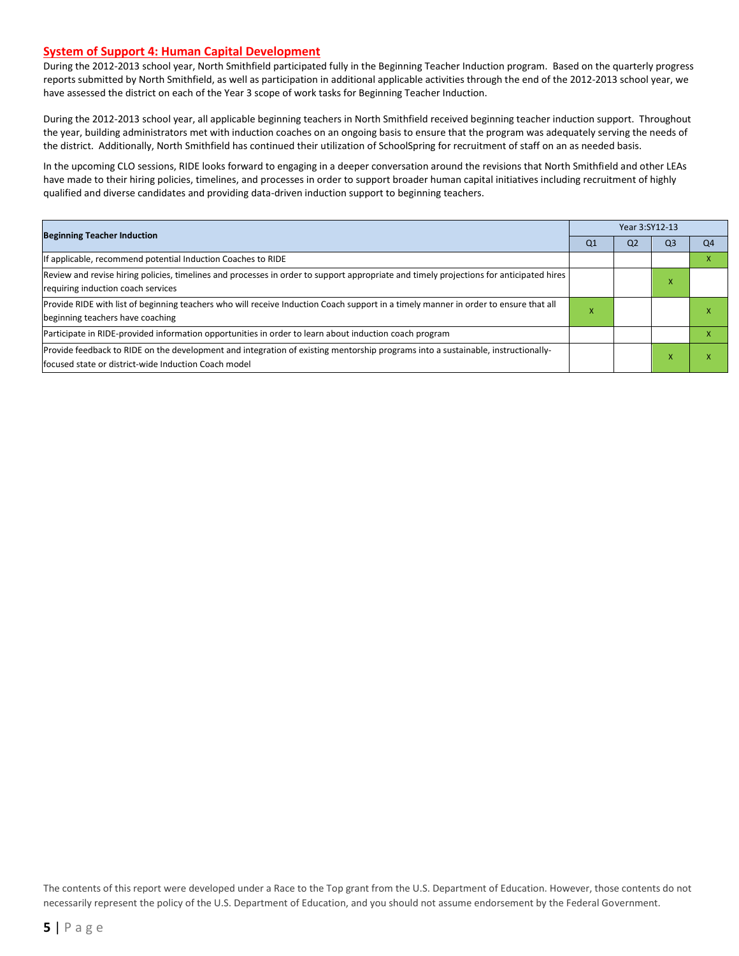#### **System of Support 4: Human Capital Development**

During the 2012-2013 school year, North Smithfield participated fully in the Beginning Teacher Induction program. Based on the quarterly progress reports submitted by North Smithfield, as well as participation in additional applicable activities through the end of the 2012-2013 school year, we have assessed the district on each of the Year 3 scope of work tasks for Beginning Teacher Induction.

During the 2012-2013 school year, all applicable beginning teachers in North Smithfield received beginning teacher induction support. Throughout the year, building administrators met with induction coaches on an ongoing basis to ensure that the program was adequately serving the needs of the district. Additionally, North Smithfield has continued their utilization of SchoolSpring for recruitment of staff on an as needed basis.

In the upcoming CLO sessions, RIDE looks forward to engaging in a deeper conversation around the revisions that North Smithfield and other LEAs have made to their hiring policies, timelines, and processes in order to support broader human capital initiatives including recruitment of highly qualified and diverse candidates and providing data-driven induction support to beginning teachers.

| <b>Beginning Teacher Induction</b>                                                                                                      |                | Year 3:SY12-13 |    |                |  |  |
|-----------------------------------------------------------------------------------------------------------------------------------------|----------------|----------------|----|----------------|--|--|
|                                                                                                                                         | Q <sub>1</sub> | Q <sub>2</sub> | Q3 | Q <sub>4</sub> |  |  |
| If applicable, recommend potential Induction Coaches to RIDE                                                                            |                |                |    |                |  |  |
| Review and revise hiring policies, timelines and processes in order to support appropriate and timely projections for anticipated hires |                |                | и. |                |  |  |
| requiring induction coach services                                                                                                      |                |                |    |                |  |  |
| Provide RIDE with list of beginning teachers who will receive Induction Coach support in a timely manner in order to ensure that all    | x              |                |    |                |  |  |
| beginning teachers have coaching                                                                                                        |                |                |    |                |  |  |
| Participate in RIDE-provided information opportunities in order to learn about induction coach program                                  |                |                |    |                |  |  |
| Provide feedback to RIDE on the development and integration of existing mentorship programs into a sustainable, instructionally-        |                |                |    |                |  |  |
| lfocused state or district-wide Induction Coach model                                                                                   |                |                |    |                |  |  |

The contents of this report were developed under a Race to the Top grant from the U.S. Department of Education. However, those contents do not necessarily represent the policy of the U.S. Department of Education, and you should not assume endorsement by the Federal Government.